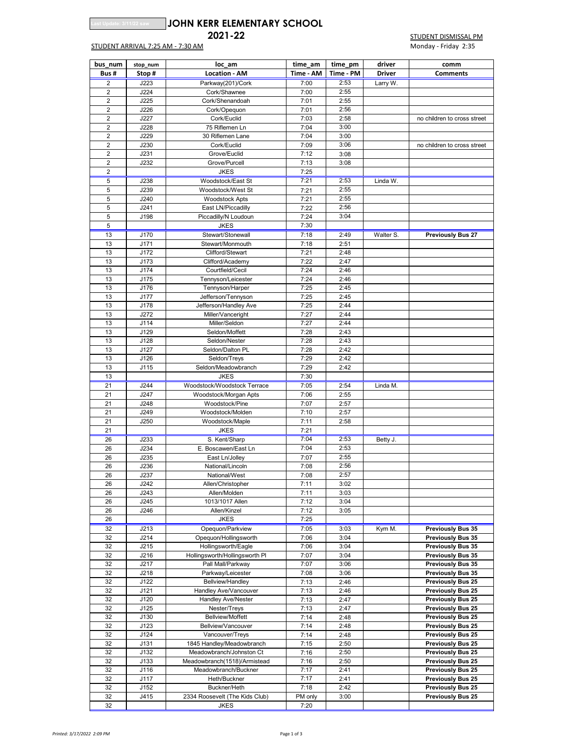## **Le: 3/11/22 saw JJOHN KERR ELEMENTARY SCHOOL**

## STUDENT ARRIVAL 7:25 AM - 7:30 AM

**2021-22 STUDENT DISMISSAL PM**<br>Monday - Friday 2:35

| bus num        |                    | time am                                               |              | driver               |               |                                                      |  |
|----------------|--------------------|-------------------------------------------------------|--------------|----------------------|---------------|------------------------------------------------------|--|
| Bus#           | stop_num<br>Stop # | loc am<br><b>Location - AM</b>                        | Time - AM    | time pm<br>Time - PM | <b>Driver</b> | comm<br><b>Comments</b>                              |  |
| 2              | J223               |                                                       | 7:00         | 2:53                 | Larry W.      |                                                      |  |
| $\overline{2}$ | J224               | Parkway(201)/Cork<br>Cork/Shawnee                     | 7:00         | 2:55                 |               |                                                      |  |
| $\overline{2}$ | J225               | Cork/Shenandoah                                       | 7:01         | 2:55                 |               |                                                      |  |
| $\overline{2}$ | J226               | Cork/Opequon                                          | 7:01         | 2:56                 |               |                                                      |  |
| 2              | J227               | Cork/Euclid                                           | 7:03         | 2:58                 |               | no children to cross street                          |  |
| $\overline{2}$ | J228               | 75 Riflemen Ln                                        | 7:04         | 3:00                 |               |                                                      |  |
| $\overline{2}$ | J229               | 30 Riflemen Lane                                      | 7:04         | 3:00                 |               |                                                      |  |
| $\overline{2}$ | J230               | Cork/Euclid                                           | 7:09         | 3:06                 |               | no children to cross street                          |  |
| 2              | J231               | Grove/Euclid                                          | 7:12         | 3:08                 |               |                                                      |  |
| $\overline{2}$ | J232               | Grove/Purcell                                         | 7:13         | 3:08                 |               |                                                      |  |
| $\overline{2}$ |                    | <b>JKES</b>                                           | 7:25         |                      |               |                                                      |  |
| 5              | J238               | Woodstock/East St                                     | 7:21         | 2:53                 | Linda W.      |                                                      |  |
| 5              | J239               | Woodstock/West St                                     | 7:21         | 2:55                 |               |                                                      |  |
| 5              | J240               | <b>Woodstock Apts</b>                                 | 7:21         | 2:55                 |               |                                                      |  |
| 5              | J241               | East LN/Piccadilly                                    | 7:22         | 2:56                 |               |                                                      |  |
| 5              | J198               | Piccadilly/N Loudoun                                  | 7:24         | 3:04                 |               |                                                      |  |
| 5              |                    | <b>JKES</b>                                           | 7:30         |                      |               |                                                      |  |
| 13             | J170               | Stewart/Stonewall                                     | 7:18         | 2:49                 | Walter S.     | <b>Previously Bus 27</b>                             |  |
| 13             | J171               | Stewart/Monmouth                                      | 7:18         | 2:51                 |               |                                                      |  |
| 13             | J172               | Clifford/Stewart                                      | 7:21         | 2:48                 |               |                                                      |  |
| 13             | J173               | Clifford/Academy                                      | 7:22         | 2:47                 |               |                                                      |  |
| 13             | J174               | Courtfield/Cecil                                      | 7:24         | 2:46                 |               |                                                      |  |
| 13             | J175               | Tennyson/Leicester                                    | 7:24         | 2:46                 |               |                                                      |  |
| 13             | J176               | Tennyson/Harper                                       | 7:25         | 2:45                 |               |                                                      |  |
| 13             | J177               | Jefferson/Tennyson                                    | 7:25         | 2:45                 |               |                                                      |  |
| 13             | J178               | Jefferson/Handley Ave                                 | 7:25         | 2:44                 |               |                                                      |  |
| 13             | J272               | Miller/Vanceright                                     | 7:27         | 2:44                 |               |                                                      |  |
| 13             | J114               | Miller/Seldon                                         | 7:27         | 2:44                 |               |                                                      |  |
| 13             | J129               | Seldon/Moffett                                        | 7:28         | 2:43                 |               |                                                      |  |
| 13             | J128               | Seldon/Nester                                         | 7:28         | 2:43                 |               |                                                      |  |
| 13             | J127               | Seldon/Dalton PL                                      | 7:28         | 2:42                 |               |                                                      |  |
| 13             | J126               | Seldon/Treys                                          | 7:29         | 2:42                 |               |                                                      |  |
| 13             | J115               | Seldon/Meadowbranch                                   | 7:29         | 2:42                 |               |                                                      |  |
| 13             |                    | JKES                                                  | 7:30         |                      |               |                                                      |  |
| 21             | J244               | Woodstock/Woodstock Terrace                           | 7:05         | 2:54                 | Linda M.      |                                                      |  |
| 21<br>21       | J247<br>J248       | Woodstock/Morgan Apts<br>Woodstock/Pine               | 7:06<br>7:07 | 2:55<br>2:57         |               |                                                      |  |
| 21             | J249               | Woodstock/Molden                                      | 7:10         | 2:57                 |               |                                                      |  |
| 21             | J250               | Woodstock/Maple                                       | 7:11         | 2:58                 |               |                                                      |  |
| 21             |                    | <b>JKES</b>                                           | 7:21         |                      |               |                                                      |  |
| 26             | J233               | S. Kent/Sharp                                         | 7:04         | 2:53                 | Betty J.      |                                                      |  |
| 26             | J234               | E. Boscawen/East Ln                                   | 7:04         | 2:53                 |               |                                                      |  |
| 26             | J235               | East Ln/Jolley                                        | 7:07         | 2:55                 |               |                                                      |  |
| 26             | J236               | National/Lincoln                                      | 7:08         | 2:56                 |               |                                                      |  |
| 26             | J237               | National/West                                         | 7:08         | 2:57                 |               |                                                      |  |
| 26             | J242               | Allen/Christopher                                     | 7:11         | 3:02                 |               |                                                      |  |
| 26             | J243               | Allen/Molden                                          | 7:11         | 3:03                 |               |                                                      |  |
| 26             | J245               | 1013/1017 Allen                                       | 7:12         | 3:04                 |               |                                                      |  |
| 26             | J246               | Allen/Kinzel                                          | 7:12         | 3:05                 |               |                                                      |  |
| 26             |                    | <b>JKES</b>                                           | 7:25         |                      |               |                                                      |  |
| 32             | J213               | Opequon/Parkview                                      | 7:05         | 3:03                 | Kym M.        | <b>Previously Bus 35</b>                             |  |
| 32             | J214               | Opequon/Hollingsworth                                 | 7:06         | 3:04                 |               | <b>Previously Bus 35</b>                             |  |
| 32             | J215               | Hollingsworth/Eagle                                   | 7:06         | 3:04                 |               | <b>Previously Bus 35</b>                             |  |
| 32             | J216               | Hollingsworth/Hollingsworth PI                        | 7:07         | 3:04                 |               | <b>Previously Bus 35</b>                             |  |
| 32             | J217               | Pall Mall/Parkway                                     | 7:07         | 3:06                 |               | <b>Previously Bus 35</b>                             |  |
| 32             | J218               | Parkway/Leicester                                     | 7:08         | 3:06                 |               | <b>Previously Bus 35</b>                             |  |
| 32             | J122               | Bellview/Handley                                      | 7:13         | 2:46                 |               | <b>Previously Bus 25</b>                             |  |
| 32             | J121               | Handley Ave/Vancouver                                 | 7:13         | 2:46                 |               | <b>Previously Bus 25</b>                             |  |
| 32             | J120               | <b>Handley Ave/Nester</b>                             | 7:13         | 2:47                 |               | <b>Previously Bus 25</b>                             |  |
| 32             | J125               | Nester/Treys                                          | 7:13         | 2:47                 |               | <b>Previously Bus 25</b>                             |  |
| 32             | J130               | <b>Bellview/Moffett</b>                               | 7:14         | 2:48                 |               | <b>Previously Bus 25</b>                             |  |
| 32             | J123               | Bellview/Vancouver                                    | 7:14         | 2:48                 |               | <b>Previously Bus 25</b>                             |  |
| 32             | J124               | Vancouver/Treys                                       | 7:14         | 2:48                 |               | <b>Previously Bus 25</b>                             |  |
| 32             | J131<br>J132       | 1845 Handley/Meadowbranch<br>Meadowbranch/Johnston Ct | 7:15<br>7:16 | 2:50<br>2:50         |               | <b>Previously Bus 25</b><br><b>Previously Bus 25</b> |  |
| 32<br>32       | J133               | Meadowbranch(1518)/Armistead                          | 7:16         | 2:50                 |               | <b>Previously Bus 25</b>                             |  |
| 32             | J116               | Meadowbranch/Buckner                                  | 7:17         | 2:41                 |               | <b>Previously Bus 25</b>                             |  |
| 32             | J117               | Heth/Buckner                                          | 7:17         | 2:41                 |               | <b>Previously Bus 25</b>                             |  |
| 32             | J152               | Buckner/Heth                                          | 7:18         | 2:42                 |               | <b>Previously Bus 25</b>                             |  |
| 32             | J415               | 2334 Roosevelt (The Kids Club)                        | PM only      | 3:00                 |               | <b>Previously Bus 25</b>                             |  |
| 32             |                    | <b>JKES</b>                                           | 7:20         |                      |               |                                                      |  |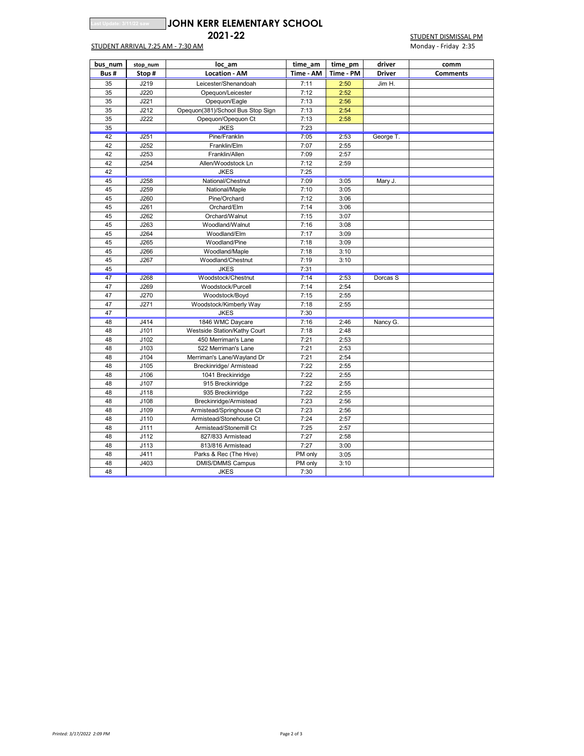|  |  |  | st Update: 3/11/22 sa |  |
|--|--|--|-----------------------|--|
|  |  |  |                       |  |

## **Last Update: 3/11/22 saw JOHN KERR ELEMENTARY SCHOOL**

STUDENT ARRIVAL 7:25 AM - 7:30 AM MONDAY - Friday 2:35

**2021-22** STUDENT DISMISSAL PM

| bus num | stop_num | loc am                            | time am   | time pm   | driver        | comm            |
|---------|----------|-----------------------------------|-----------|-----------|---------------|-----------------|
| Bus#    | Stop#    | <b>Location - AM</b>              | Time - AM | Time - PM | <b>Driver</b> | <b>Comments</b> |
| 35      | J219     | Leicester/Shenandoah              | 7:11      | 2:50      | Jim H.        |                 |
| 35      | J220     | Opequon/Leicester                 | 7:12      | 2:52      |               |                 |
| 35      | J221     | Opequon/Eagle                     | 7:13      | 2:56      |               |                 |
| 35      | J212     | Opequon(381)/School Bus Stop Sign | 7:13      | 2:54      |               |                 |
| 35      | J222     | Opequon/Opequon Ct                | 7:13      | 2:58      |               |                 |
| 35      |          | <b>JKES</b>                       | 7:23      |           |               |                 |
| 42      | J251     | Pine/Franklin                     | 7:05      | 2:53      | George T.     |                 |
| 42      | J252     | Franklin/Elm                      | 7:07      | 2:55      |               |                 |
| 42      | J253     | Franklin/Allen                    | 7:09      | 2:57      |               |                 |
| 42      | J254     | Allen/Woodstock Ln                | 7:12      | 2:59      |               |                 |
| 42      |          | <b>JKES</b>                       | 7:25      |           |               |                 |
| 45      | J258     | National/Chestnut                 | 7:09      | 3:05      | Mary J.       |                 |
| 45      | J259     | National/Maple                    | 7:10      | 3:05      |               |                 |
| 45      | J260     | Pine/Orchard                      | 7:12      | 3:06      |               |                 |
| 45      | J261     | Orchard/Elm                       | 7:14      | 3:06      |               |                 |
| 45      | J262     | Orchard/Walnut                    | 7:15      | 3:07      |               |                 |
| 45      | J263     | Woodland/Walnut                   | 7:16      | 3:08      |               |                 |
| 45      | J264     | Woodland/Elm                      | 7:17      | 3:09      |               |                 |
| 45      | J265     | Woodland/Pine                     | 7:18      | 3:09      |               |                 |
| 45      | J266     | Woodland/Maple                    | 7:18      | 3:10      |               |                 |
| 45      | J267     | Woodland/Chestnut                 | 7:19      | 3:10      |               |                 |
| 45      |          | <b>JKES</b>                       | 7:31      |           |               |                 |
| 47      | J268     | Woodstock/Chestnut                | 7:14      | 2:53      | Dorcas S      |                 |
| 47      | J269     | Woodstock/Purcell                 | 7:14      | 2:54      |               |                 |
| 47      | J270     | Woodstock/Boyd                    | 7:15      | 2:55      |               |                 |
| 47      | J271     | Woodstock/Kimberly Way            | 7:18      | 2:55      |               |                 |
| 47      |          | <b>JKES</b>                       | 7:30      |           |               |                 |
| 48      | J414     | 1846 WMC Daycare                  | 7:16      | 2:46      | Nancy G.      |                 |
| 48      | J101     | Westside Station/Kathy Court      | 7:18      | 2:48      |               |                 |
| 48      | J102     | 450 Merriman's Lane               | 7:21      | 2:53      |               |                 |
| 48      | J103     | 522 Merriman's Lane               | 7:21      | 2:53      |               |                 |
| 48      | J104     | Merriman's Lane/Wayland Dr        | 7:21      | 2:54      |               |                 |
| 48      | J105     | Breckinridge/ Armistead           | 7:22      | 2:55      |               |                 |
| 48      | J106     | 1041 Breckinridge                 | 7:22      | 2:55      |               |                 |
| 48      | J107     | 915 Breckinridge                  | 7:22      | 2:55      |               |                 |
| 48      | J118     | 935 Breckinridge                  | 7:22      | 2:55      |               |                 |
| 48      | J108     | Breckinridge/Armistead            | 7:23      | 2:56      |               |                 |
| 48      | J109     | Armistead/Springhouse Ct          | 7:23      | 2:56      |               |                 |
| 48      | J110     | Armistead/Stonehouse Ct           | 7:24      | 2:57      |               |                 |
| 48      | J111     | Armistead/Stonemill Ct            | 7:25      | 2:57      |               |                 |
| 48      | J112     | 827/833 Armistead                 | 7:27      | 2:58      |               |                 |
| 48      | J113     | 813/816 Armistead                 | 7:27      | 3:00      |               |                 |
| 48      | J411     | Parks & Rec (The Hive)            | PM only   | 3:05      |               |                 |
| 48      | J403     | <b>DMIS/DMMS Campus</b>           | PM only   | 3:10      |               |                 |
| 48      |          | <b>JKES</b>                       | 7:30      |           |               |                 |